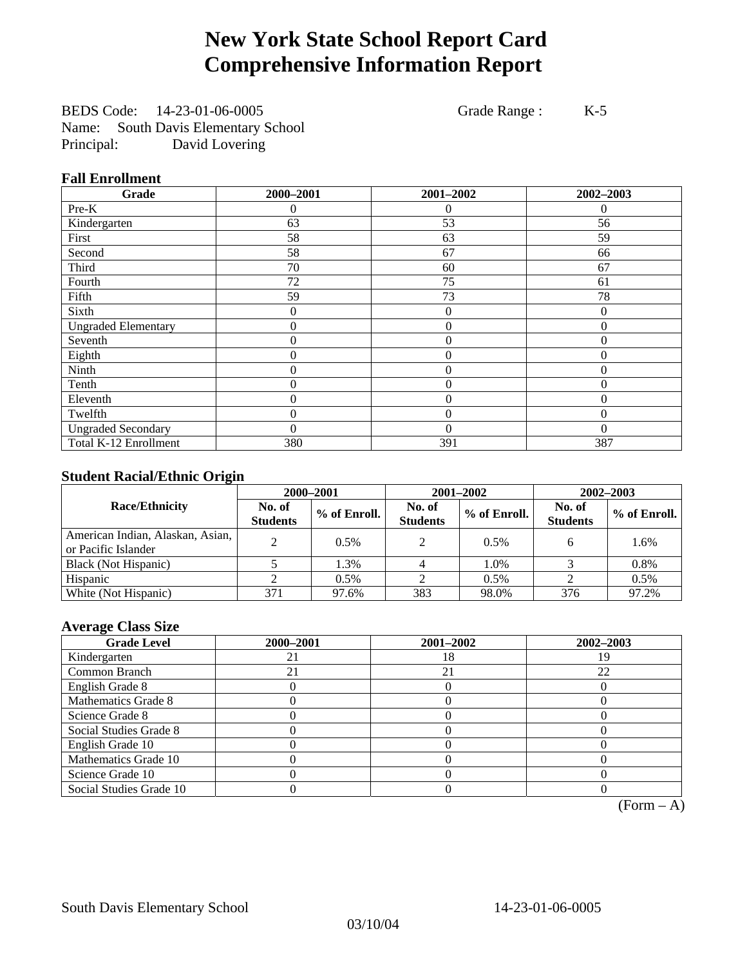# **New York State School Report Card Comprehensive Information Report**

BEDS Code: 14-23-01-06-0005 Grade Range : K-5 Name: South Davis Elementary School Principal: David Lovering

### **Fall Enrollment**

| Grade                      | 2000-2001        | 2001-2002        | 2002-2003 |
|----------------------------|------------------|------------------|-----------|
| Pre-K                      | 0                | $\Omega$         | $\theta$  |
| Kindergarten               | 63               | 53               | 56        |
| First                      | 58               | 63               | 59        |
| Second                     | 58               | 67               | 66        |
| Third                      | 70               | 60               | 67        |
| Fourth                     | 72               | 75               | 61        |
| Fifth                      | 59               | 73               | 78        |
| Sixth                      | 0                | $\overline{0}$   | $\Omega$  |
| <b>Ungraded Elementary</b> | 0                | $\theta$         | $\Omega$  |
| Seventh                    | $\boldsymbol{0}$ | $\boldsymbol{0}$ | $\theta$  |
| Eighth                     | 0                | $\overline{0}$   | $\Omega$  |
| Ninth                      | 0                | $\overline{0}$   | $\Omega$  |
| Tenth                      | 0                | $\overline{0}$   | $\theta$  |
| Eleventh                   | 0                | $\overline{0}$   | $\theta$  |
| Twelfth                    | 0                | $\overline{0}$   | $\theta$  |
| <b>Ungraded Secondary</b>  | 0                | $\theta$         | $\theta$  |
| Total K-12 Enrollment      | 380              | 391              | 387       |

### **Student Racial/Ethnic Origin**

|                                                         | 2000-2001                 |              |                           | 2001-2002    | $2002 - 2003$             |                |
|---------------------------------------------------------|---------------------------|--------------|---------------------------|--------------|---------------------------|----------------|
| <b>Race/Ethnicity</b>                                   | No. of<br><b>Students</b> | % of Enroll. | No. of<br><b>Students</b> | % of Enroll. | No. of<br><b>Students</b> | $%$ of Enroll. |
| American Indian, Alaskan, Asian,<br>or Pacific Islander |                           | 0.5%         | 2                         | 0.5%         | h.                        | 1.6%           |
| Black (Not Hispanic)                                    |                           | 1.3%         |                           | 1.0%         |                           | 0.8%           |
| Hispanic                                                |                           | 0.5%         |                           | 0.5%         |                           | 0.5%           |
| White (Not Hispanic)                                    | 371                       | 97.6%        | 383                       | 98.0%        | 376                       | 97.2%          |

### **Average Class Size**

| <b>Grade Level</b>      | 2000-2001 | 2001-2002 | 2002-2003 |
|-------------------------|-----------|-----------|-----------|
| Kindergarten            |           | 18        |           |
| Common Branch           |           | 21        | 22        |
| English Grade 8         |           |           |           |
| Mathematics Grade 8     |           |           |           |
| Science Grade 8         |           |           |           |
| Social Studies Grade 8  |           |           |           |
| English Grade 10        |           |           |           |
| Mathematics Grade 10    |           |           |           |
| Science Grade 10        |           |           |           |
| Social Studies Grade 10 |           |           |           |

 $(Form - A)$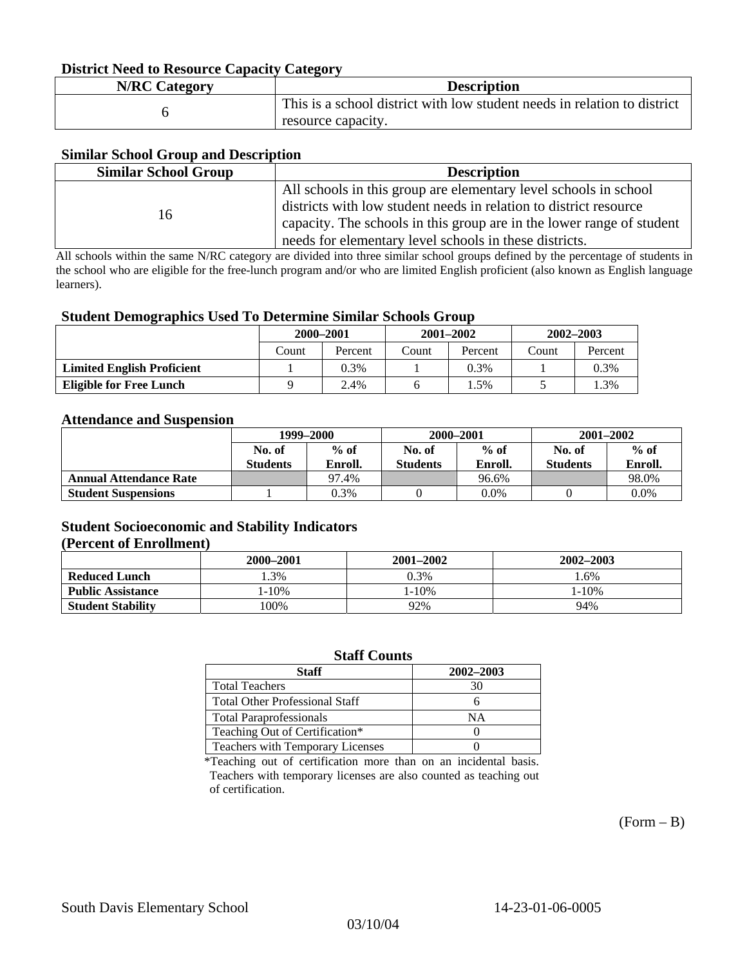### **District Need to Resource Capacity Category**

| <b>N/RC Category</b> | <b>Description</b>                                                                             |
|----------------------|------------------------------------------------------------------------------------------------|
|                      | This is a school district with low student needs in relation to district<br>resource capacity. |

### **Similar School Group and Description**

| <b>Similar School Group</b> | <b>Description</b>                                                    |
|-----------------------------|-----------------------------------------------------------------------|
|                             | All schools in this group are elementary level schools in school      |
| 16                          | districts with low student needs in relation to district resource     |
|                             | capacity. The schools in this group are in the lower range of student |
|                             | needs for elementary level schools in these districts.                |

All schools within the same N/RC category are divided into three similar school groups defined by the percentage of students in the school who are eligible for the free-lunch program and/or who are limited English proficient (also known as English language learners).

#### **Student Demographics Used To Determine Similar Schools Group**

|                                   | 2000-2001 |         | $2001 - 2002$ |         | $2002 - 2003$ |         |
|-----------------------------------|-----------|---------|---------------|---------|---------------|---------|
|                                   | Count     | Percent | Count         | Percent | Count         | Percent |
| <b>Limited English Proficient</b> |           | $0.3\%$ |               | 0.3%    |               | 0.3%    |
| Eligible for Free Lunch           |           | 2.4%    |               | $.5\%$  |               | .3%     |

#### **Attendance and Suspension**

|                               | 1999–2000        |         | 2000-2001       |         | $2001 - 2002$   |         |
|-------------------------------|------------------|---------|-----------------|---------|-----------------|---------|
|                               | $%$ of<br>No. of |         | No. of          | $%$ of  |                 | $%$ of  |
|                               | <b>Students</b>  | Enroll. | <b>Students</b> | Enroll. | <b>Students</b> | Enroll. |
| <b>Annual Attendance Rate</b> |                  | 97.4%   |                 | 96.6%   |                 | 98.0%   |
| <b>Student Suspensions</b>    |                  | 0.3%    |                 | $0.0\%$ |                 | 0.0%    |

### **Student Socioeconomic and Stability Indicators (Percent of Enrollment)**

|                          | 2000–2001 | 2001–2002 | 2002-2003 |
|--------------------------|-----------|-----------|-----------|
| <b>Reduced Lunch</b>     | .3%       | 0.3%      | .6%       |
| <b>Public Assistance</b> | $-10%$    | 1-10%     | $1 - 10%$ |
| <b>Student Stability</b> | 00%       | 92%       | 94%       |

#### **Staff Counts**

| Staff                                   | 2002-2003 |
|-----------------------------------------|-----------|
| <b>Total Teachers</b>                   | 30        |
| <b>Total Other Professional Staff</b>   |           |
| <b>Total Paraprofessionals</b>          | NΑ        |
| Teaching Out of Certification*          |           |
| <b>Teachers with Temporary Licenses</b> |           |

\*Teaching out of certification more than on an incidental basis. Teachers with temporary licenses are also counted as teaching out of certification.

 $(Form - B)$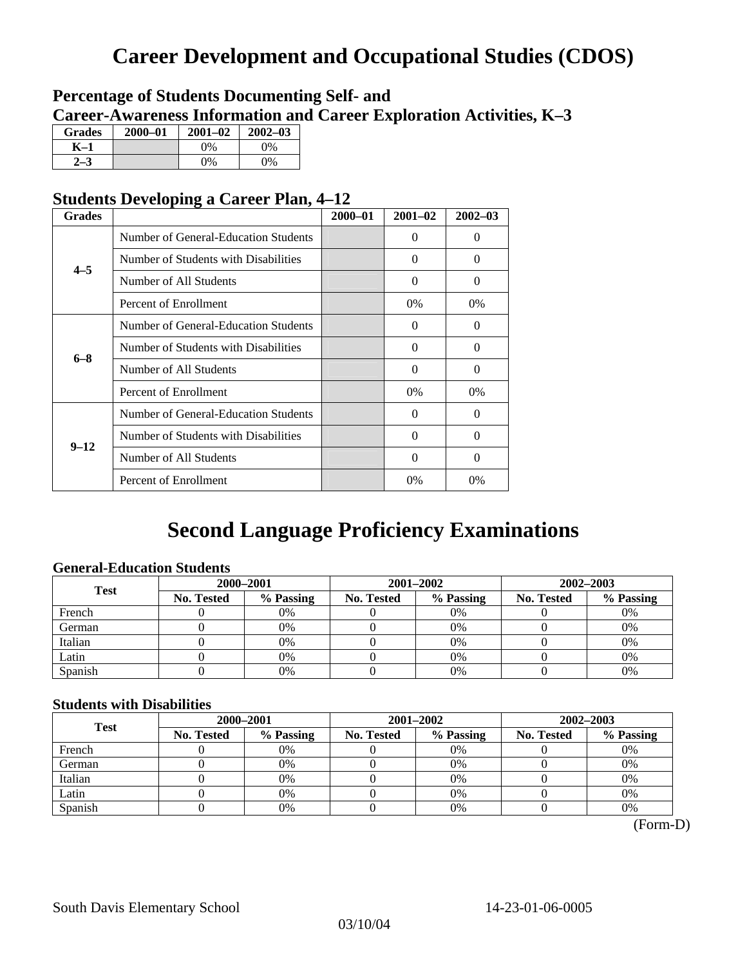# **Career Development and Occupational Studies (CDOS)**

### **Percentage of Students Documenting Self- and Career-Awareness Information and Career Exploration Activities, K–3**

| <b>Grades</b>  | 2000-01 | $2001 - 02$ | $2002 - 03$ |
|----------------|---------|-------------|-------------|
| K-1            |         | $0\%$       | 0%          |
| 2 <sub>2</sub> |         | $0\%$       | $0\%$       |

### **Students Developing a Career Plan, 4–12**

| <b>Grades</b> |                                      | $2000 - 01$ | $2001 - 02$ | $2002 - 03$ |
|---------------|--------------------------------------|-------------|-------------|-------------|
|               | Number of General-Education Students |             | $\Omega$    | 0           |
| $4 - 5$       | Number of Students with Disabilities |             | $\Omega$    | 0           |
|               | Number of All Students               |             | 0           | $\Omega$    |
|               | Percent of Enrollment                |             | $0\%$       | $0\%$       |
|               | Number of General-Education Students |             | $\Omega$    | 0           |
| $6 - 8$       | Number of Students with Disabilities |             | $\Omega$    | $\Omega$    |
|               | Number of All Students               |             | $\Omega$    | $\Omega$    |
|               | Percent of Enrollment                |             | $0\%$       | $0\%$       |
|               | Number of General-Education Students |             | $\Omega$    | 0           |
| $9 - 12$      | Number of Students with Disabilities |             | $\Omega$    | $\Omega$    |
|               | Number of All Students               |             | 0           | 0           |
|               | Percent of Enrollment                |             | 0%          | $0\%$       |

# **Second Language Proficiency Examinations**

### **General-Education Students**

| <b>Test</b> | 2000-2001  |           |                   | 2001-2002 | 2002-2003         |           |
|-------------|------------|-----------|-------------------|-----------|-------------------|-----------|
|             | No. Tested | % Passing | <b>No. Tested</b> | % Passing | <b>No. Tested</b> | % Passing |
| French      |            | 0%        |                   | $0\%$     |                   | 0%        |
| German      |            | 0%        |                   | 0%        |                   | 0%        |
| Italian     |            | 0%        |                   | 0%        |                   | 0%        |
| Latin       |            | 0%        |                   | $0\%$     |                   | 0%        |
| Spanish     |            | 0%        |                   | 0%        |                   | 0%        |

### **Students with Disabilities**

| <b>Test</b> | 2000-2001         |           |            | 2001–2002 | 2002–2003         |           |  |
|-------------|-------------------|-----------|------------|-----------|-------------------|-----------|--|
|             | <b>No. Tested</b> | % Passing | No. Tested | % Passing | <b>No. Tested</b> | % Passing |  |
| French      |                   | 0%        |            | 0%        |                   | 0%        |  |
| German      |                   | 0%        |            | 0%        |                   | 0%        |  |
| Italian     |                   | 0%        |            | 0%        |                   | 0%        |  |
| Latin       |                   | 0%        |            | 0%        |                   | 0%        |  |
| Spanish     |                   | 0%        |            | 0%        |                   | 0%        |  |

(Form-D)